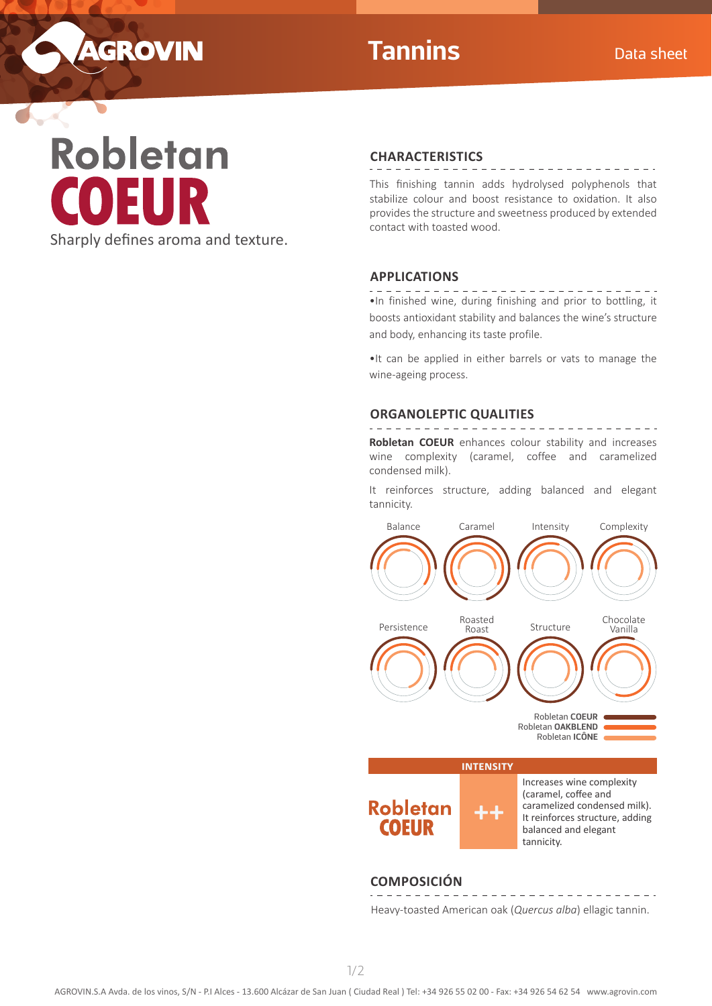

 $\sim$ 

# **Tannins** Data sheet

\_ \_ \_ \_ \_ \_ \_ \_ \_ \_ \_ \_ \_

# Robletan Sharply defines aroma and texture.

## **CHARACTERISTICS**

. . . . . . . . . . . . . . .

This finishing tannin adds hydrolysed polyphenols that stabilize colour and boost resistance to oxidation. It also provides the structure and sweetness produced by extended contact with toasted wood.

# **APPLICATIONS**

. . . . . . . •In finished wine, during finishing and prior to bottling, it boosts antioxidant stability and balances the wine's structure and body, enhancing its taste profile.

•It can be applied in either barrels or vats to manage the wine-ageing process.

# **ORGANOLEPTIC QUALITIES**

**Robletan COEUR** enhances colour stability and increases wine complexity (caramel, coffee and caramelized condensed milk).

It reinforces structure, adding balanced and elegant tannicity.



#### **COMPOSICIÓN** . <u>. . . . . . . .</u> .

Heavy-toasted American oak (*Quercus alba*) ellagic tannin.

<u> 2 2 2 2 2 2 2 2 2 2 2 .</u>